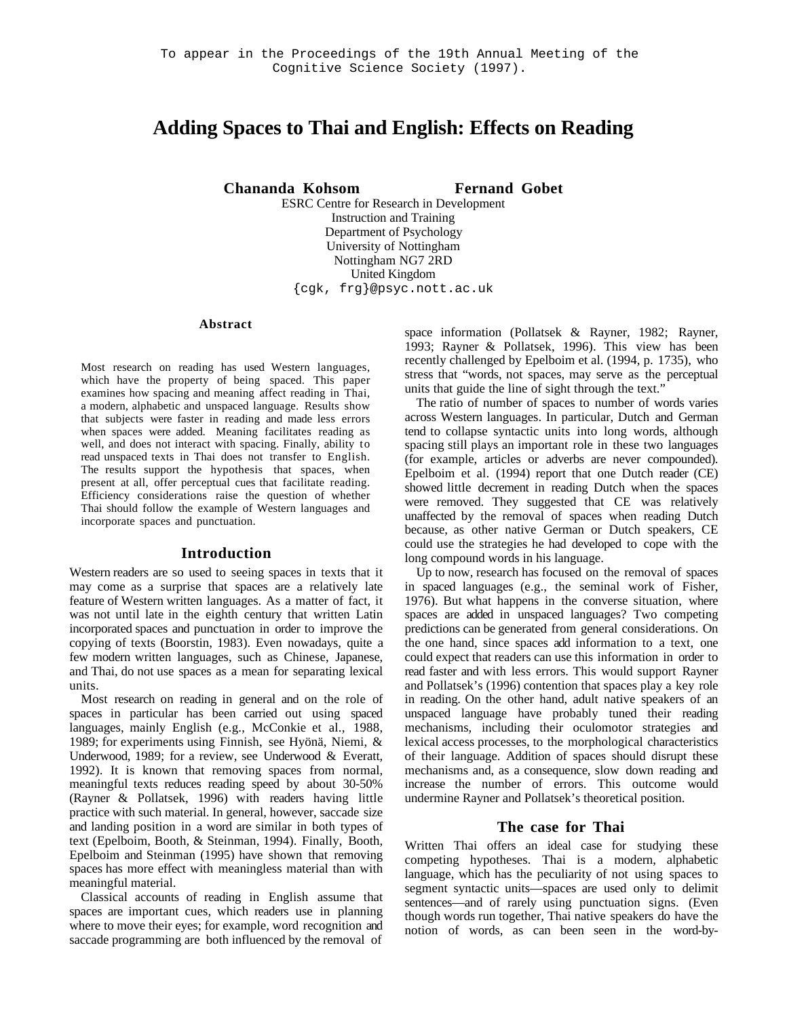# **Adding Spaces to Thai and English: Effects on Reading**

**Chananda Kohsom Fernand Gobet**

ESRC Centre for Research in Development Instruction and Training Department of Psychology University of Nottingham Nottingham NG7 2RD United Kingdom {cgk, frg}@psyc.nott.ac.uk

#### **Abstract**

Most research on reading has used Western languages, which have the property of being spaced. This paper examines how spacing and meaning affect reading in Thai, a modern, alphabetic and unspaced language. Results show that subjects were faster in reading and made less errors when spaces were added. Meaning facilitates reading as well, and does not interact with spacing. Finally, ability to read unspaced texts in Thai does not transfer to English. The results support the hypothesis that spaces, when present at all, offer perceptual cues that facilitate reading. Efficiency considerations raise the question of whether Thai should follow the example of Western languages and incorporate spaces and punctuation.

#### **Introduction**

Western readers are so used to seeing spaces in texts that it may come as a surprise that spaces are a relatively late feature of Western written languages. As a matter of fact, it was not until late in the eighth century that written Latin incorporated spaces and punctuation in order to improve the copying of texts (Boorstin, 1983). Even nowadays, quite a few modern written languages, such as Chinese, Japanese, and Thai, do not use spaces as a mean for separating lexical units.

Most research on reading in general and on the role of spaces in particular has been carried out using spaced languages, mainly English (e.g., McConkie et al., 1988, 1989; for experiments using Finnish, see Hyönä, Niemi, & Underwood, 1989; for a review, see Underwood & Everatt, 1992). It is known that removing spaces from normal, meaningful texts reduces reading speed by about 30-50% (Rayner & Pollatsek, 1996) with readers having little practice with such material. In general, however, saccade size and landing position in a word are similar in both types of text (Epelboim, Booth, & Steinman, 1994). Finally, Booth, Epelboim and Steinman (1995) have shown that removing spaces has more effect with meaningless material than with meaningful material.

Classical accounts of reading in English assume that spaces are important cues, which readers use in planning where to move their eyes; for example, word recognition and saccade programming are both influenced by the removal of

space information (Pollatsek & Rayner, 1982; Rayner, 1993; Rayner & Pollatsek, 1996). This view has been recently challenged by Epelboim et al. (1994, p. 1735), who stress that "words, not spaces, may serve as the perceptual units that guide the line of sight through the text."

The ratio of number of spaces to number of words varies across Western languages. In particular, Dutch and German tend to collapse syntactic units into long words, although spacing still plays an important role in these two languages (for example, articles or adverbs are never compounded). Epelboim et al. (1994) report that one Dutch reader (CE) showed little decrement in reading Dutch when the spaces were removed. They suggested that CE was relatively unaffected by the removal of spaces when reading Dutch because, as other native German or Dutch speakers, CE could use the strategies he had developed to cope with the long compound words in his language.

Up to now, research has focused on the removal of spaces in spaced languages (e.g., the seminal work of Fisher, 1976). But what happens in the converse situation, where spaces are added in unspaced languages? Two competing predictions can be generated from general considerations. On the one hand, since spaces add information to a text, one could expect that readers can use this information in order to read faster and with less errors. This would support Rayner and Pollatsek's (1996) contention that spaces play a key role in reading. On the other hand, adult native speakers of an unspaced language have probably tuned their reading mechanisms, including their oculomotor strategies and lexical access processes, to the morphological characteristics of their language. Addition of spaces should disrupt these mechanisms and, as a consequence, slow down reading and increase the number of errors. This outcome would undermine Rayner and Pollatsek's theoretical position.

#### **The case for Thai**

Written Thai offers an ideal case for studying these competing hypotheses. Thai is a modern, alphabetic language, which has the peculiarity of not using spaces to segment syntactic units—spaces are used only to delimit sentences—and of rarely using punctuation signs. (Even though words run together, Thai native speakers do have the notion of words, as can been seen in the word-by-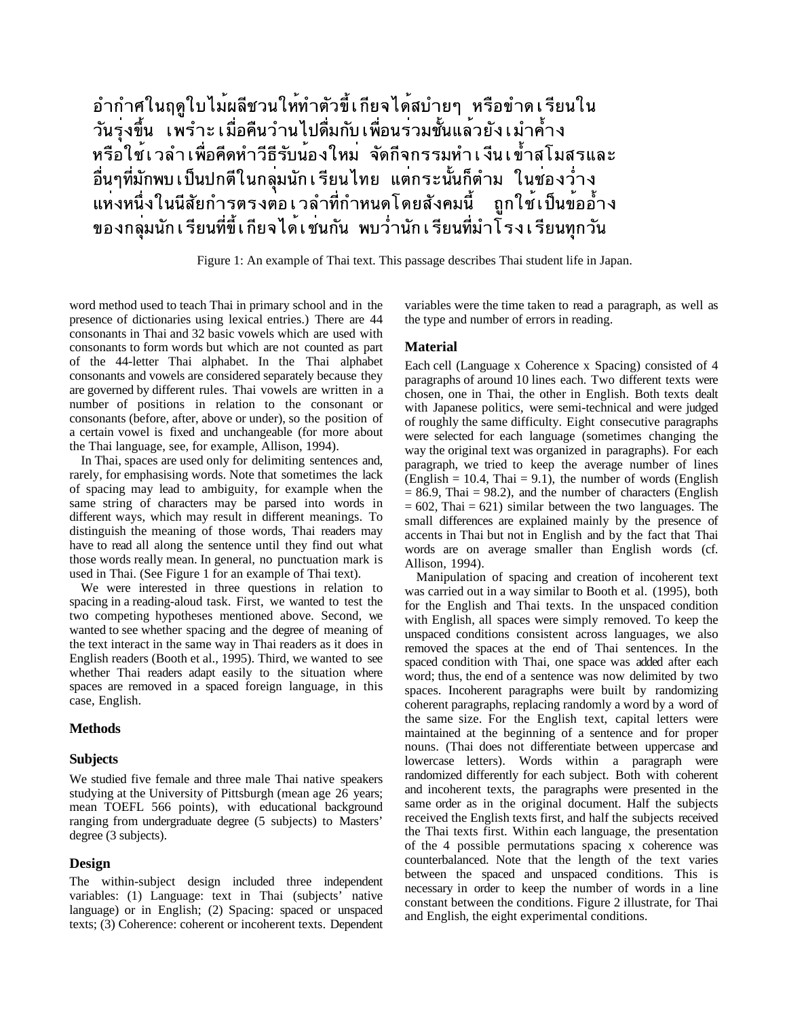# อำกำศในฤดูใบไม<sup>้</sup>ผลีชวนให้ทำตัวขี้เกียจได<sup>้</sup>สบำยๆ หรือขำดเรียนใน ้วันรุงขึ้น เพ<sup>ิ</sup>รำะเมื่อคืนวำนไปดื่มกับเพื่อนร่วมชั้นแล*้*วยังเมำค้ำง หรือใช้เวลำเพื่อคีดหำวีธีรับน้องใหม่ จัดกีจกรรมทำเงีนเข้ำสโมสรและ ้<br>อื่นๆที่มักพบ เป็นปกตีในกลุ่มนัก เรียนไทย แตกระนั้นก็ตำม ในช่องว่ำง<br> แห่งหนึ่งในนีสัยกำรุตรงต่อ เ วลำที่กำหนดโดยสังคมนี้ ถูกใช้ เป็นข้ออ้ำง ของกลุ่มนักเรียนที่ขี้เกียจได้เข่นกัน พบว่ำนักเรียนที่มำโรงเรียนทุกวัน

Figure 1: An example of Thai text. This passage describes Thai student life in Japan.

word method used to teach Thai in primary school and in the presence of dictionaries using lexical entries.) There are 44 consonants in Thai and 32 basic vowels which are used with consonants to form words but which are not counted as part of the 44-letter Thai alphabet. In the Thai alphabet consonants and vowels are considered separately because they are governed by different rules. Thai vowels are written in a number of positions in relation to the consonant or consonants (before, after, above or under), so the position of a certain vowel is fixed and unchangeable (for more about the Thai language, see, for example, Allison, 1994).

In Thai, spaces are used only for delimiting sentences and, rarely, for emphasising words. Note that sometimes the lack of spacing may lead to ambiguity, for example when the same string of characters may be parsed into words in different ways, which may result in different meanings. To distinguish the meaning of those words, Thai readers may have to read all along the sentence until they find out what those words really mean. In general, no punctuation mark is used in Thai. (See Figure 1 for an example of Thai text).

We were interested in three questions in relation to spacing in a reading-aloud task. First, we wanted to test the two competing hypotheses mentioned above. Second, we wanted to see whether spacing and the degree of meaning of the text interact in the same way in Thai readers as it does in English readers (Booth et al., 1995). Third, we wanted to see whether Thai readers adapt easily to the situation where spaces are removed in a spaced foreign language, in this case, English.

#### **Methods**

#### **Subjects**

We studied five female and three male Thai native speakers studying at the University of Pittsburgh (mean age 26 years; mean TOEFL 566 points), with educational background ranging from undergraduate degree (5 subjects) to Masters' degree (3 subjects).

### **Design**

The within-subject design included three independent variables: (1) Language: text in Thai (subjects' native language) or in English; (2) Spacing: spaced or unspaced texts; (3) Coherence: coherent or incoherent texts. Dependent

variables were the time taken to read a paragraph, as well as the type and number of errors in reading.

### **Material**

Each cell (Language x Coherence x Spacing) consisted of 4 paragraphs of around 10 lines each. Two different texts were chosen, one in Thai, the other in English. Both texts dealt with Japanese politics, were semi-technical and were judged of roughly the same difficulty. Eight consecutive paragraphs were selected for each language (sometimes changing the way the original text was organized in paragraphs). For each paragraph, we tried to keep the average number of lines (English  $= 10.4$ , Thai  $= 9.1$ ), the number of words (English  $= 86.9$ , Thai  $= 98.2$ ), and the number of characters (English  $= 602$ , Thai  $= 621$ ) similar between the two languages. The small differences are explained mainly by the presence of accents in Thai but not in English and by the fact that Thai words are on average smaller than English words (cf. Allison, 1994).

Manipulation of spacing and creation of incoherent text was carried out in a way similar to Booth et al. (1995), both for the English and Thai texts. In the unspaced condition with English, all spaces were simply removed. To keep the unspaced conditions consistent across languages, we also removed the spaces at the end of Thai sentences. In the spaced condition with Thai, one space was added after each word; thus, the end of a sentence was now delimited by two spaces. Incoherent paragraphs were built by randomizing coherent paragraphs, replacing randomly a word by a word of the same size. For the English text, capital letters were maintained at the beginning of a sentence and for proper nouns. (Thai does not differentiate between uppercase and lowercase letters). Words within a paragraph were randomized differently for each subject. Both with coherent and incoherent texts, the paragraphs were presented in the same order as in the original document. Half the subjects received the English texts first, and half the subjects received the Thai texts first. Within each language, the presentation of the 4 possible permutations spacing x coherence was counterbalanced. Note that the length of the text varies between the spaced and unspaced conditions. This is necessary in order to keep the number of words in a line constant between the conditions. Figure 2 illustrate, for Thai and English, the eight experimental conditions.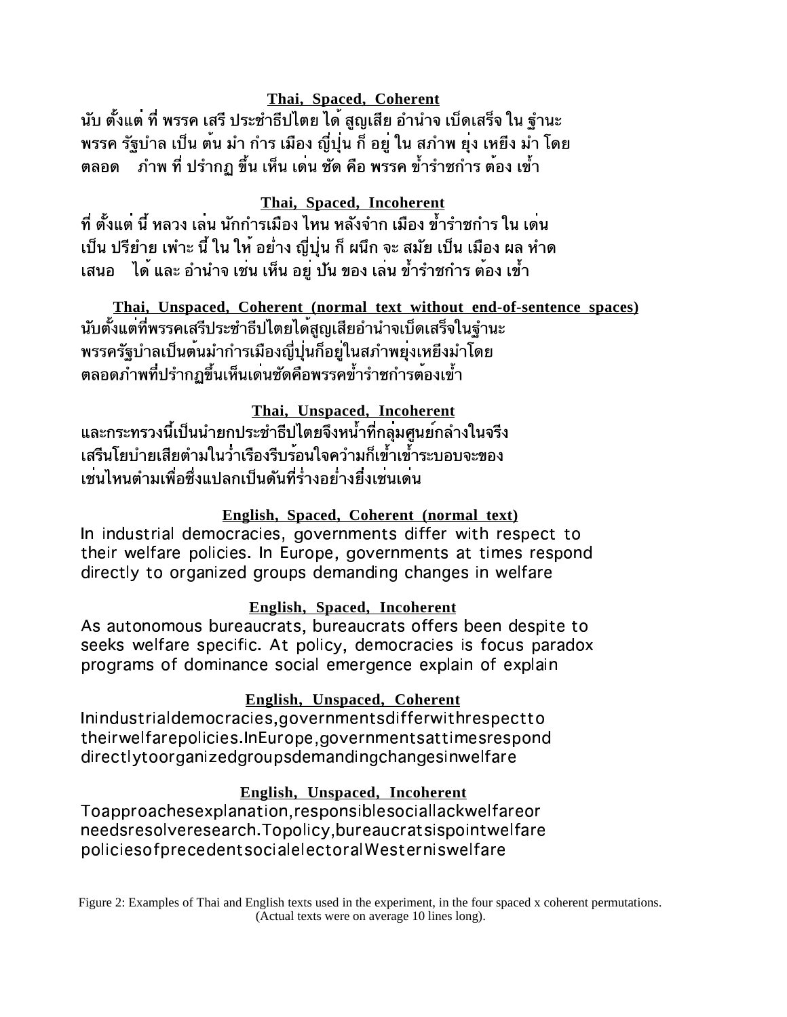# **Thai, Spaced, Coherent**

้นับ ตั้งแต่ ที่ พรรค เสรี ประชำธีปไตย ได้ สูญเสีย อำนำจ เบ็ดเสร็จ ใน จำนะ พรรค รัฐบำล เป็น ต้น มำ กำร เมือง ญี่ปุ่น ก็ อยู ใน สภำพ ยุง เหยิง มำ โดย ้ ภำพ ที่ ปรำกฏ ขึ้น เห็น เดน ชัด คือ พรรค ข้ำรำชกำร ต้อง เข้ำ ตลอด

# **Thai, Spaced, Incoherent**

ู้ที่ ตั้งแต่ นี้ หลวง เล่น นักกำรเมือง ไหน หลังจำก เมือง ข้ำรำชกำร ใน เด่น เป็น ปรียำย เพำะ นี้ ใน ให้ อย่ำง ญี่ปุ่น ก็ ผนึก จะ สมัย เป็น เมือง ผล หำด ีเสนอ ได้ และ อำนำจ เช่น เห็น อย ปัน ของ เล่น ข้ำรำชกำร ต้อง เข้ำ

**Thai, Unspaced, Coherent (normal text without end-of-sentence spaces)** พรรครัฐบำลเป็นต้นมำกำรเมืองญี่ปุ่นก็อยู่ในสภำพยุงเหยีงมำโดย ิตลอดภำพที่ปรำกฏขึ้นเห็นเดนชัดคือพรรคข้ำรำชกำรต้องเข้ำ

**Thai, Unspaced, Incoherent** และกระทรวงนี้เป็นนำยกประชำธีปไตยจึงหน้ำที่กลุ่มศูนย์กลำงในจรีง เสรีนโยบำยเสียตำมในว่ำเรืองรีบร้อนใจควำมก็เข้ำเข้ำระบอบจะของ เช่นไหนตำมเพื่อซึ่งแปลกเป็นดันที่ร่ำงอย่ำงยึ่งเช่นเดน

# **English, Spaced, Coherent (normal text)**

 $\blacksquare$  . The contract of the contract of the contract of the contract of the contract of the contract of the contract of the contract of the contract of the contract of the contract of the contract of the contract of the  $\blacksquare$  . The contract of the contract of the contract of the contract of the contract of the contract of the contract of the contract of the contract of the contract of the contract of the contract of the contract of the  $\blacksquare$  . The contract of the contract of the contract of the contract of the contract of the contract of the contract of the contract of the contract of the contract of the contract of the contract of the contract of the

# **English, Spaced, Incoherent**

en de la construcción de la construcción de la construcción de la construcción de la construcción de la constru  $\blacksquare$  . The set of the set of the set of the set of the set of the set of the set of the set of the set of the set of the set of the set of the set of the set of the set of the set of the set of the set of the set of the  $\blacksquare$  . The contract of the contract of the contract of the contract of the contract of the contract of the contract of the contract of the contract of the contract of the contract of the contract of the contract of the

# **English, Unspaced, Coherent**

 $\blacksquare$  . The contract of the contract of the contract of the contract of the contract of the contract of the contract of the contract of the contract of the contract of the contract of the contract of the contract of the  $\blacksquare$  . The contract of the contract of the contract of the contract of the contract of the contract of the contract of the contract of the contract of the contract of the contract of the contract of the contract of the  $\blacksquare$  . The contract of the contract of the contract of the contract of the contract of the contract of the contract of the contract of the contract of the contract of the contract of the contract of the contract of the

# **English, Unspaced, Incoherent**

 $-$  . The contract of the contract of the contract of the contract of the contract of the contract of the contract of the contract of the contract of the contract of the contract of the contract of the contract of the con  $-$  . The contract of the contract of the contract of the contract of the contract of the contract of the contract of the contract of the contract of the contract of the contract of the contract of the contract of the con  $\blacksquare$  . The set of the set of the set of the set of the set of the set of the set of the set of the set of the set of the set of the set of the set of the set of the set of the set of the set of the set of the set of the

Figure 2: Examples of Thai and English texts used in the experiment, in the four spaced x coherent permutations. (Actual texts were on average 10 lines long).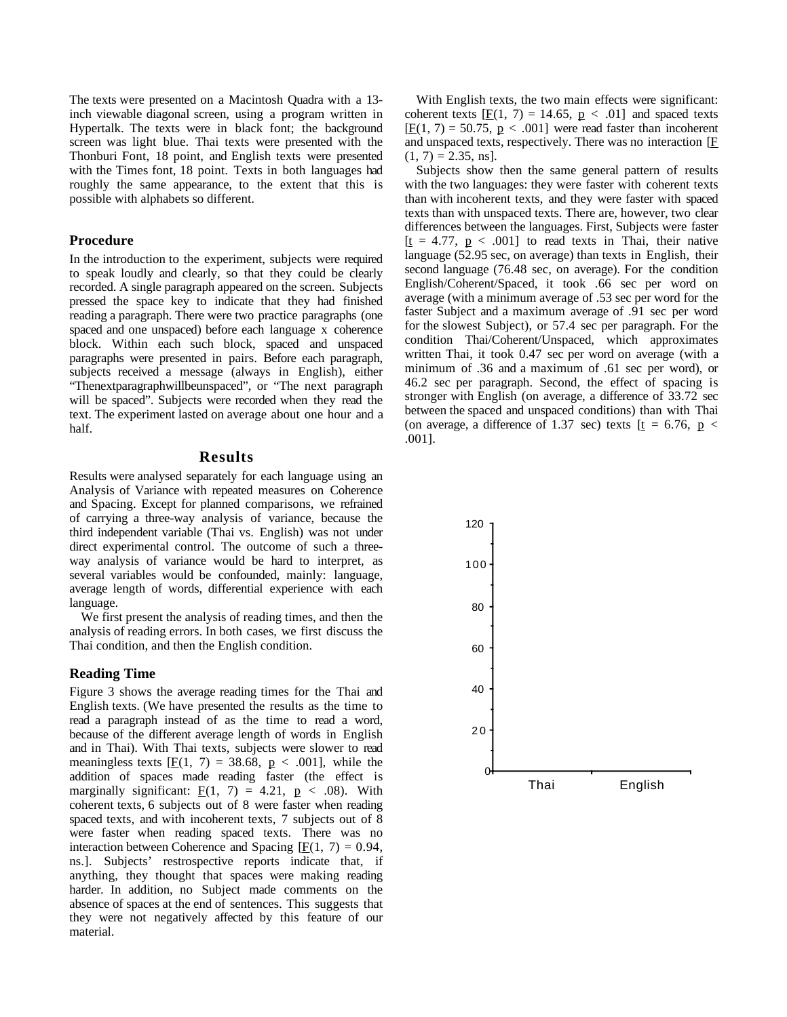The texts were presented on a Macintosh Quadra with a 13 inch viewable diagonal screen, using a program written in Hypertalk. The texts were in black font; the background screen was light blue. Thai texts were presented with the Thonburi Font, 18 point, and English texts were presented with the Times font, 18 point. Texts in both languages had roughly the same appearance, to the extent that this is possible with alphabets so different.

### **Procedure**

In the introduction to the experiment, subjects were required to speak loudly and clearly, so that they could be clearly recorded. A single paragraph appeared on the screen. Subjects pressed the space key to indicate that they had finished reading a paragraph. There were two practice paragraphs (one spaced and one unspaced) before each language x coherence block. Within each such block, spaced and unspaced paragraphs were presented in pairs. Before each paragraph, subjects received a message (always in English), either "Thenextparagraphwillbeunspaced", or "The next paragraph will be spaced". Subjects were recorded when they read the text. The experiment lasted on average about one hour and a half.

### **Results**

Results were analysed separately for each language using an Analysis of Variance with repeated measures on Coherence and Spacing. Except for planned comparisons, we refrained of carrying a three-way analysis of variance, because the third independent variable (Thai vs. English) was not under direct experimental control. The outcome of such a threeway analysis of variance would be hard to interpret, as several variables would be confounded, mainly: language, average length of words, differential experience with each language.

We first present the analysis of reading times, and then the analysis of reading errors. In both cases, we first discuss the Thai condition, and then the English condition.

#### **Reading Time**

Figure 3 shows the average reading times for the Thai and English texts. (We have presented the results as the time to read a paragraph instead of as the time to read a word, because of the different average length of words in English and in Thai). With Thai texts, subjects were slower to read meaningless texts  $[**F**(1, 7) = 38.68, **p** < .001]$ , while the addition of spaces made reading faster (the effect is marginally significant:  $E(1, 7) = 4.21$ ,  $p < .08$ ). With coherent texts, 6 subjects out of 8 were faster when reading spaced texts, and with incoherent texts, 7 subjects out of 8 were faster when reading spaced texts. There was no interaction between Coherence and Spacing  $[F(1, 7) = 0.94]$ , ns.]. Subjects' restrospective reports indicate that, if anything, they thought that spaces were making reading harder. In addition, no Subject made comments on the absence of spaces at the end of sentences. This suggests that they were not negatively affected by this feature of our material.

With English texts, the two main effects were significant: coherent texts  $[**F**(1, 7) = 14.65, **p** < .01]$  and spaced texts  $[**F**(1, 7) = 50.75, **p** < .001]$  were read faster than incoherent and unspaced texts, respectively. There was no interaction  $[**F**]$  $(1, 7) = 2.35$ , ns].

Subjects show then the same general pattern of results with the two languages: they were faster with coherent texts than with incoherent texts, and they were faster with spaced texts than with unspaced texts. There are, however, two clear differences between the languages. First, Subjects were faster  $[t = 4.77, p < .001]$  to read texts in Thai, their native language (52.95 sec, on average) than texts in English, their second language (76.48 sec, on average). For the condition English/Coherent/Spaced, it took .66 sec per word on average (with a minimum average of .53 sec per word for the faster Subject and a maximum average of .91 sec per word for the slowest Subject), or 57.4 sec per paragraph. For the condition Thai/Coherent/Unspaced, which approximates written Thai, it took 0.47 sec per word on average (with a minimum of .36 and a maximum of .61 sec per word), or 46.2 sec per paragraph. Second, the effect of spacing is stronger with English (on average, a difference of 33.72 sec between the spaced and unspaced conditions) than with Thai (on average, a difference of 1.37 sec) texts  $[t = 6.76, p <$ .001].

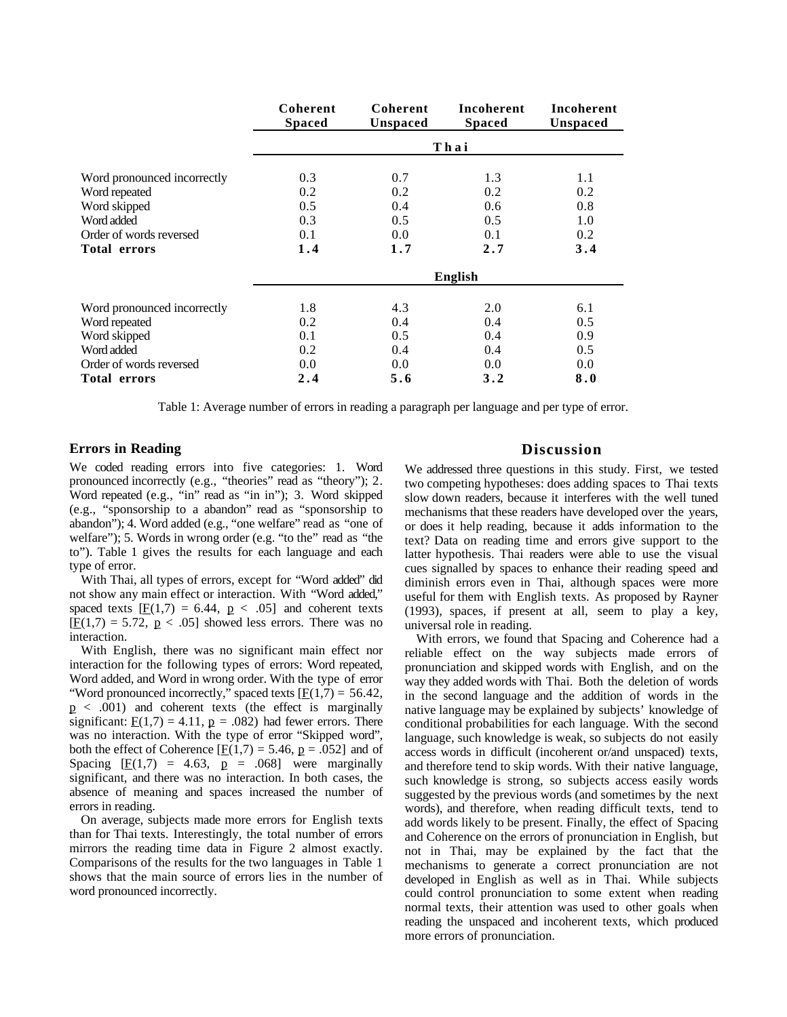|                             | Coherent<br><b>Spaced</b> | Coherent<br>Unspaced | Incoherent<br><b>Spaced</b> | Incoherent<br>Unspaced |
|-----------------------------|---------------------------|----------------------|-----------------------------|------------------------|
|                             | Thai                      |                      |                             |                        |
|                             |                           |                      |                             |                        |
| Word pronounced incorrectly | 0.3                       | 0.7                  | 1.3                         | 1.1                    |
| Word repeated               | 0.2                       | 0.2                  | 0.2                         | 0.2                    |
| Word skipped                | 0.5                       | 0.4                  | 0.6                         | 0.8                    |
| Word added                  | 0.3                       | 0.5                  | 0.5                         | 1.0                    |
| Order of words reversed     | 0.1                       | 0.0                  | 0.1                         | 0.2                    |
| <b>Total errors</b>         | 1.4                       | 1.7                  | 2.7                         | 3.4                    |
|                             | <b>English</b>            |                      |                             |                        |
| Word pronounced incorrectly | 1.8                       | 4.3                  | 2.0                         | 6.1                    |
| Word repeated               | 0.2                       | 0.4                  | 0.4                         | 0.5                    |
| Word skipped                | 0.1                       | 0.5                  | 0.4                         | 0.9                    |
| Word added                  | 0.2                       | 0.4                  | 0.4                         | 0.5                    |
| Order of words reversed     | 0.0                       | 0.0                  | 0.0                         | 0.0                    |
| <b>Total errors</b>         | 2.4                       | 5.6                  | 3.2                         | 8.0                    |

Table 1: Average number of errors in reading a paragraph per language and per type of error.

#### **Errors in Reading**

We coded reading errors into five categories: 1. Word pronounced incorrectly (e.g., "theories" read as "theory"); 2. Word repeated (e.g., "in" read as "in in"); 3. Word skipped (e.g., "sponsorship to a abandon" read as "sponsorship to abandon"); 4. Word added (e.g., "one welfare" read as "one of welfare"); 5. Words in wrong order (e.g. "to the" read as "the to"). Table 1 gives the results for each language and each type of error.

With Thai, all types of errors, except for "Word added" did not show any main effect or interaction. With "Word added," spaced texts  $[F(1,7) = 6.44, p < .05]$  and coherent texts  $[$   $\text{F}(1,7) = 5.72, p \le .05$  showed less errors. There was no interaction.

With English, there was no significant main effect nor interaction for the following types of errors: Word repeated, Word added, and Word in wrong order. With the type of error "Word pronounced incorrectly," spaced texts  $[\underline{F}(1,7) = 56.42]$ ,  $p \lt 0.001$  and coherent texts (the effect is marginally significant:  $\underline{F}(1,7) = 4.11$ ,  $\underline{p} = .082$ ) had fewer errors. There was no interaction. With the type of error "Skipped word", both the effect of Coherence  $[\underline{F}(1,7) = 5.46, p = .052]$  and of Spacing  $[E(1,7) = 4.63, p = .068]$  were marginally significant, and there was no interaction. In both cases, the absence of meaning and spaces increased the number of errors in reading.

On average, subjects made more errors for English texts than for Thai texts. Interestingly, the total number of errors mirrors the reading time data in Figure 2 almost exactly. Comparisons of the results for the two languages in Table 1 shows that the main source of errors lies in the number of word pronounced incorrectly.

### **Discussion**

We addressed three questions in this study. First, we tested two competing hypotheses: does adding spaces to Thai texts slow down readers, because it interferes with the well tuned mechanisms that these readers have developed over the years, or does it help reading, because it adds information to the text? Data on reading time and errors give support to the latter hypothesis. Thai readers were able to use the visual cues signalled by spaces to enhance their reading speed and diminish errors even in Thai, although spaces were more useful for them with English texts. As proposed by Rayner (1993), spaces, if present at all, seem to play a key, universal role in reading.

With errors, we found that Spacing and Coherence had a reliable effect on the way subjects made errors of pronunciation and skipped words with English, and on the way they added words with Thai. Both the deletion of words in the second language and the addition of words in the native language may be explained by subjects' knowledge of conditional probabilities for each language. With the second language, such knowledge is weak, so subjects do not easily access words in difficult (incoherent or/and unspaced) texts, and therefore tend to skip words. With their native language, such knowledge is strong, so subjects access easily words suggested by the previous words (and sometimes by the next words), and therefore, when reading difficult texts, tend to add words likely to be present. Finally, the effect of Spacing and Coherence on the errors of pronunciation in English, but not in Thai, may be explained by the fact that the mechanisms to generate a correct pronunciation are not developed in English as well as in Thai. While subjects could control pronunciation to some extent when reading normal texts, their attention was used to other goals when reading the unspaced and incoherent texts, which produced more errors of pronunciation.